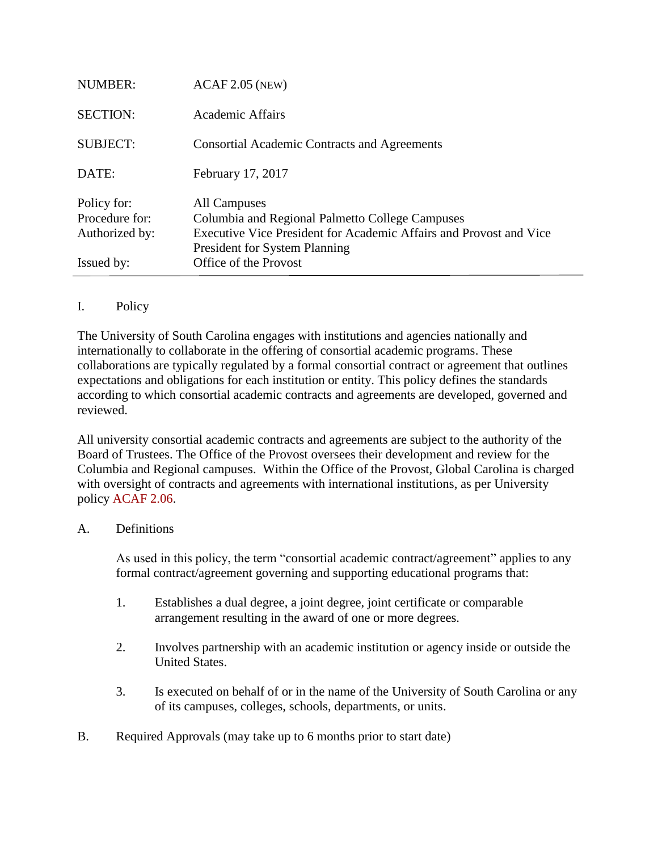| Issued by:                                      | <b>President for System Planning</b><br>Office of the Provost                                                                         |
|-------------------------------------------------|---------------------------------------------------------------------------------------------------------------------------------------|
| Policy for:<br>Procedure for:<br>Authorized by: | All Campuses<br>Columbia and Regional Palmetto College Campuses<br>Executive Vice President for Academic Affairs and Provost and Vice |
| DATE:                                           | February 17, 2017                                                                                                                     |
| <b>SUBJECT:</b>                                 | <b>Consortial Academic Contracts and Agreements</b>                                                                                   |
| <b>SECTION:</b>                                 | Academic Affairs                                                                                                                      |
| <b>NUMBER:</b>                                  | $ACAF 2.05$ (NEW)                                                                                                                     |

## I. Policy

The University of South Carolina engages with institutions and agencies nationally and internationally to collaborate in the offering of consortial academic programs. These collaborations are typically regulated by a formal consortial contract or agreement that outlines expectations and obligations for each institution or entity. This policy defines the standards according to which consortial academic contracts and agreements are developed, governed and reviewed.

All university consortial academic contracts and agreements are subject to the authority of the Board of Trustees. The Office of the Provost oversees their development and review for the Columbia and Regional campuses. Within the Office of the Provost, Global Carolina is charged with oversight of contracts and agreements with international institutions, as per University policy [ACAF 2.06.](http://www.sc.edu/policies/ppm/acaf206.pdf)

## A. Definitions

As used in this policy, the term "consortial academic contract/agreement" applies to any formal contract/agreement governing and supporting educational programs that:

- 1. Establishes a dual degree, a joint degree, joint certificate or comparable arrangement resulting in the award of one or more degrees.
- 2. Involves partnership with an academic institution or agency inside or outside the United States.
- 3. Is executed on behalf of or in the name of the University of South Carolina or any of its campuses, colleges, schools, departments, or units.
- B. Required Approvals (may take up to 6 months prior to start date)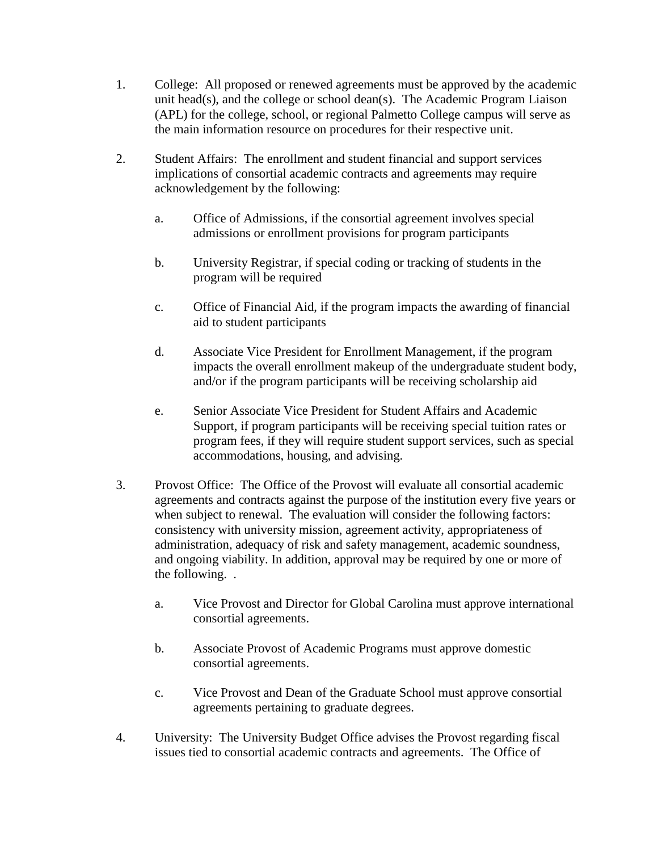- 1. College: All proposed or renewed agreements must be approved by the academic unit head(s), and the college or school dean(s). The Academic Program Liaison (APL) for the college, school, or regional Palmetto College campus will serve as the main information resource on procedures for their respective unit.
- 2. Student Affairs: The enrollment and student financial and support services implications of consortial academic contracts and agreements may require acknowledgement by the following:
	- a. Office of Admissions, if the consortial agreement involves special admissions or enrollment provisions for program participants
	- b. University Registrar, if special coding or tracking of students in the program will be required
	- c. Office of Financial Aid, if the program impacts the awarding of financial aid to student participants
	- d. Associate Vice President for Enrollment Management, if the program impacts the overall enrollment makeup of the undergraduate student body, and/or if the program participants will be receiving scholarship aid
	- e. Senior Associate Vice President for Student Affairs and Academic Support, if program participants will be receiving special tuition rates or program fees, if they will require student support services, such as special accommodations, housing, and advising.
- 3. Provost Office: The Office of the Provost will evaluate all consortial academic agreements and contracts against the purpose of the institution every five years or when subject to renewal. The evaluation will consider the following factors: consistency with university mission, agreement activity, appropriateness of administration, adequacy of risk and safety management, academic soundness, and ongoing viability. In addition, approval may be required by one or more of the following. .
	- a. Vice Provost and Director for Global Carolina must approve international consortial agreements.
	- b. Associate Provost of Academic Programs must approve domestic consortial agreements.
	- c. Vice Provost and Dean of the Graduate School must approve consortial agreements pertaining to graduate degrees.
- 4. University: The University Budget Office advises the Provost regarding fiscal issues tied to consortial academic contracts and agreements. The Office of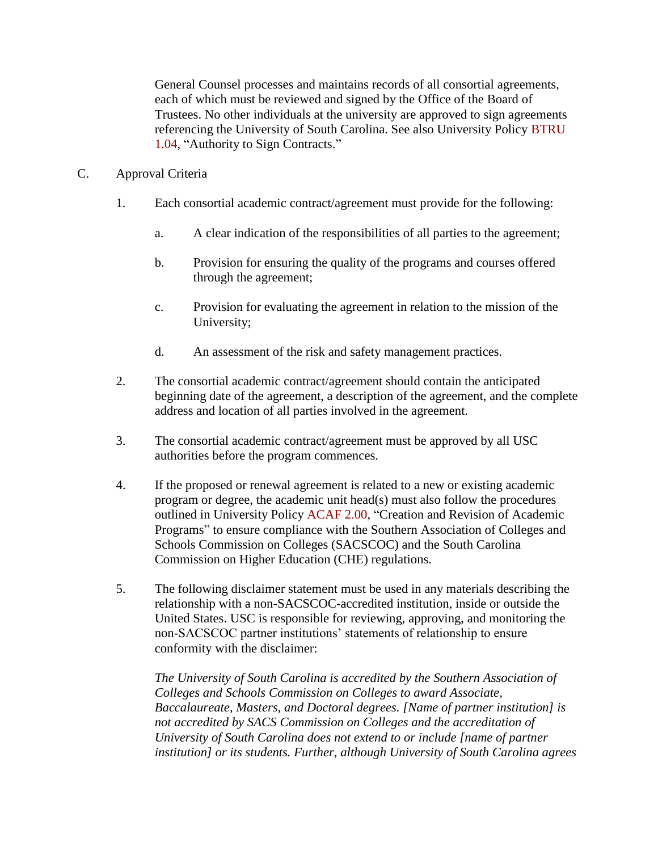General Counsel processes and maintains records of all consortial agreements, each of which must be reviewed and signed by the Office of the Board of Trustees. No other individuals at the university are approved to sign agreements referencing the University of South Carolina. See also University Policy [BTRU](http://www.sc.edu/policies/ppm/btru104.pdf)  [1.04,](http://www.sc.edu/policies/ppm/btru104.pdf) "Authority to Sign Contracts."

- C. Approval Criteria
	- 1. Each consortial academic contract/agreement must provide for the following:
		- a. A clear indication of the responsibilities of all parties to the agreement;
		- b. Provision for ensuring the quality of the programs and courses offered through the agreement;
		- c. Provision for evaluating the agreement in relation to the mission of the University;
		- d. An assessment of the risk and safety management practices.
	- 2. The consortial academic contract/agreement should contain the anticipated beginning date of the agreement, a description of the agreement, and the complete address and location of all parties involved in the agreement.
	- 3. The consortial academic contract/agreement must be approved by all USC authorities before the program commences.
	- 4. If the proposed or renewal agreement is related to a new or existing academic program or degree, the academic unit head(s) must also follow the procedures outlined in University Policy [ACAF 2.00,](http://www.sc.edu/policies/ppm/acaf200.pdf) "Creation and Revision of Academic Programs" to ensure compliance with the Southern Association of Colleges and Schools Commission on Colleges (SACSCOC) and the South Carolina Commission on Higher Education (CHE) regulations.
	- 5. The following disclaimer statement must be used in any materials describing the relationship with a non-SACSCOC-accredited institution, inside or outside the United States. USC is responsible for reviewing, approving, and monitoring the non-SACSCOC partner institutions' statements of relationship to ensure conformity with the disclaimer:

*The University of South Carolina is accredited by the Southern Association of Colleges and Schools Commission on Colleges to award Associate, Baccalaureate, Masters, and Doctoral degrees. [Name of partner institution] is not accredited by SACS Commission on Colleges and the accreditation of University of South Carolina does not extend to or include [name of partner institution] or its students. Further, although University of South Carolina agrees*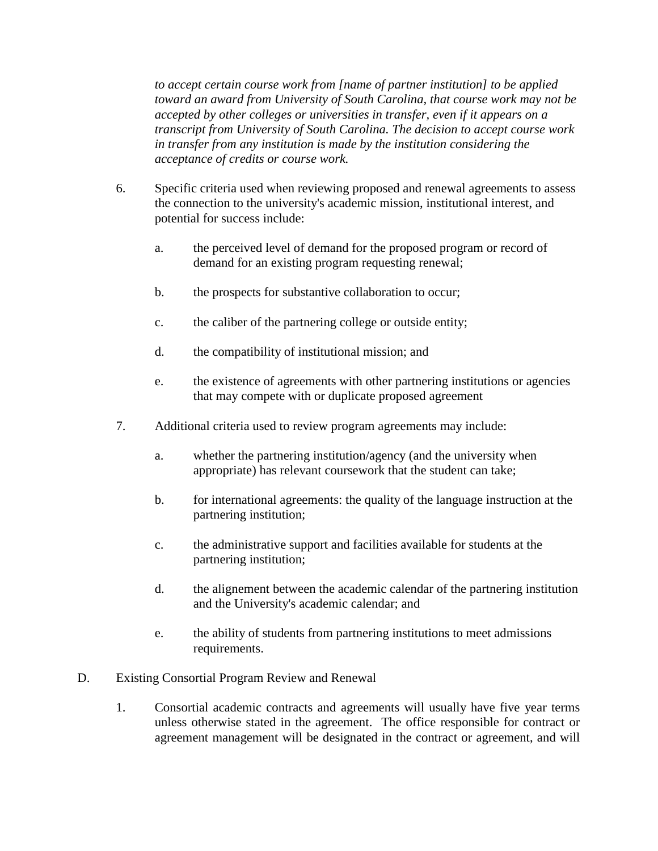*to accept certain course work from [name of partner institution] to be applied toward an award from University of South Carolina, that course work may not be accepted by other colleges or universities in transfer, even if it appears on a transcript from University of South Carolina. The decision to accept course work in transfer from any institution is made by the institution considering the acceptance of credits or course work.*

- 6. Specific criteria used when reviewing proposed and renewal agreements to assess the connection to the university's academic mission, institutional interest, and potential for success include:
	- a. the perceived level of demand for the proposed program or record of demand for an existing program requesting renewal;
	- b. the prospects for substantive collaboration to occur;
	- c. the caliber of the partnering college or outside entity;
	- d. the compatibility of institutional mission; and
	- e. the existence of agreements with other partnering institutions or agencies that may compete with or duplicate proposed agreement
- 7. Additional criteria used to review program agreements may include:
	- a. whether the partnering institution/agency (and the university when appropriate) has relevant coursework that the student can take;
	- b. for international agreements: the quality of the language instruction at the partnering institution;
	- c. the administrative support and facilities available for students at the partnering institution;
	- d. the alignement between the academic calendar of the partnering institution and the University's academic calendar; and
	- e. the ability of students from partnering institutions to meet admissions requirements.
- D. Existing Consortial Program Review and Renewal
	- 1. Consortial academic contracts and agreements will usually have five year terms unless otherwise stated in the agreement. The office responsible for contract or agreement management will be designated in the contract or agreement, and will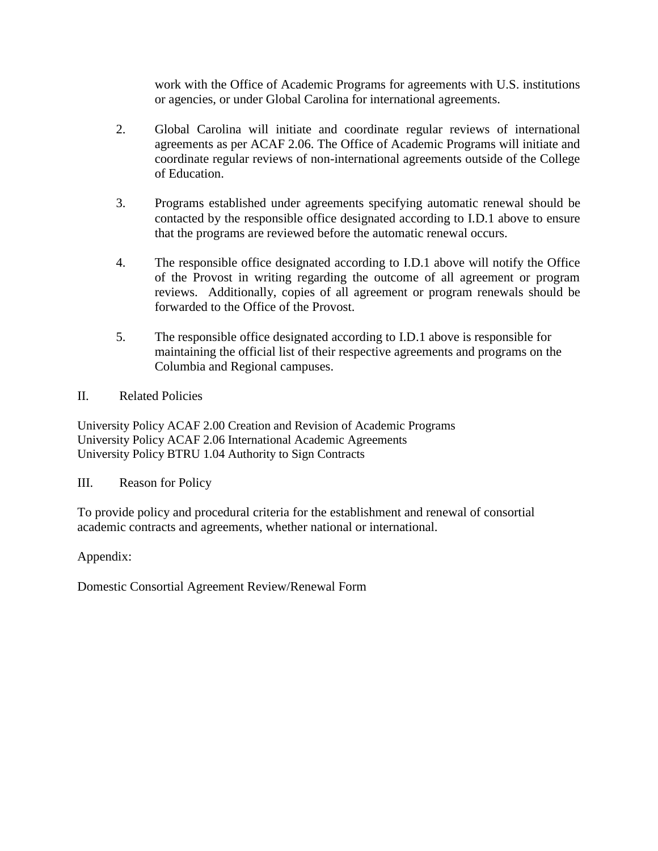work with the Office of Academic Programs for agreements with U.S. institutions or agencies, or under Global Carolina for international agreements.

- 2. Global Carolina will initiate and coordinate regular reviews of international agreements as per ACAF 2.06. The Office of Academic Programs will initiate and coordinate regular reviews of non-international agreements outside of the College of Education.
- 3. Programs established under agreements specifying automatic renewal should be contacted by the responsible office designated according to I.D.1 above to ensure that the programs are reviewed before the automatic renewal occurs.
- 4. The responsible office designated according to I.D.1 above will notify the Office of the Provost in writing regarding the outcome of all agreement or program reviews. Additionally, copies of all agreement or program renewals should be forwarded to the Office of the Provost.
- 5. The responsible office designated according to I.D.1 above is responsible for maintaining the official list of their respective agreements and programs on the Columbia and Regional campuses.
- II. Related Policies

University Policy ACAF 2.00 Creation and Revision of Academic Programs University Policy ACAF 2.06 International Academic Agreements University Policy BTRU 1.04 Authority to Sign Contracts

III. Reason for Policy

To provide policy and procedural criteria for the establishment and renewal of consortial academic contracts and agreements, whether national or international.

Appendix:

Domestic Consortial Agreement Review/Renewal Form